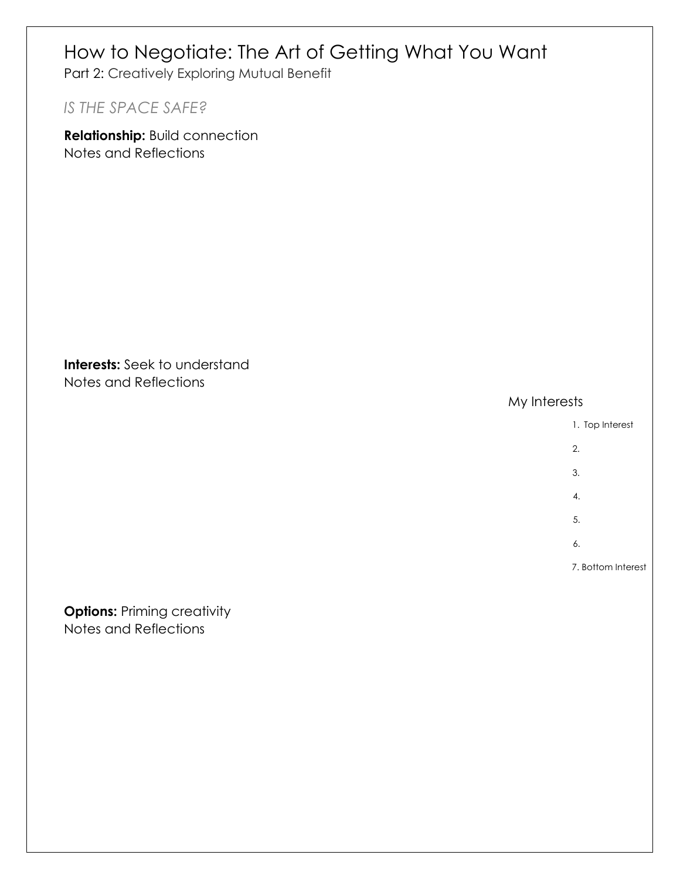# How to Negotiate: The Art of Getting What You Want Part 2: Creatively Exploring Mutual Benefit *IS THE SPACE SAFE?* **Relationship:** Build connection Notes and Reflections

**Interests:** Seek to understand Notes and Reflections

My Interests



Notes and Reflections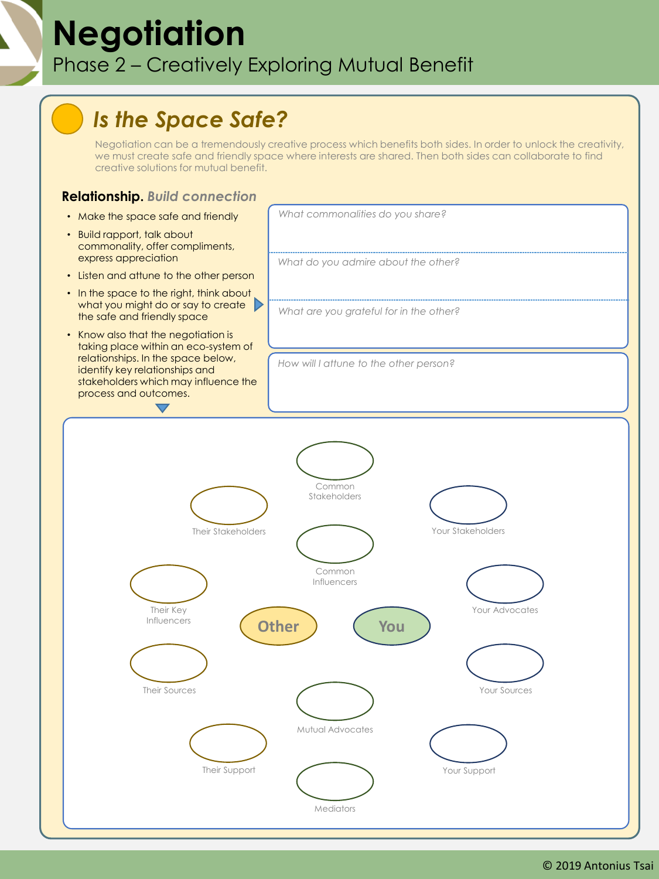### **Negotiation** Phase 2 – Creatively Exploring Mutual Benefit

### *Is the Space Safe?*

Negotiation can be a tremendously creative process which benefits both sides. In order to unlock the creativity, we must create safe and friendly space where interests are shared. Then both sides can collaborate to find creative solutions for mutual benefit.

#### **Relationship.** *Build connection*

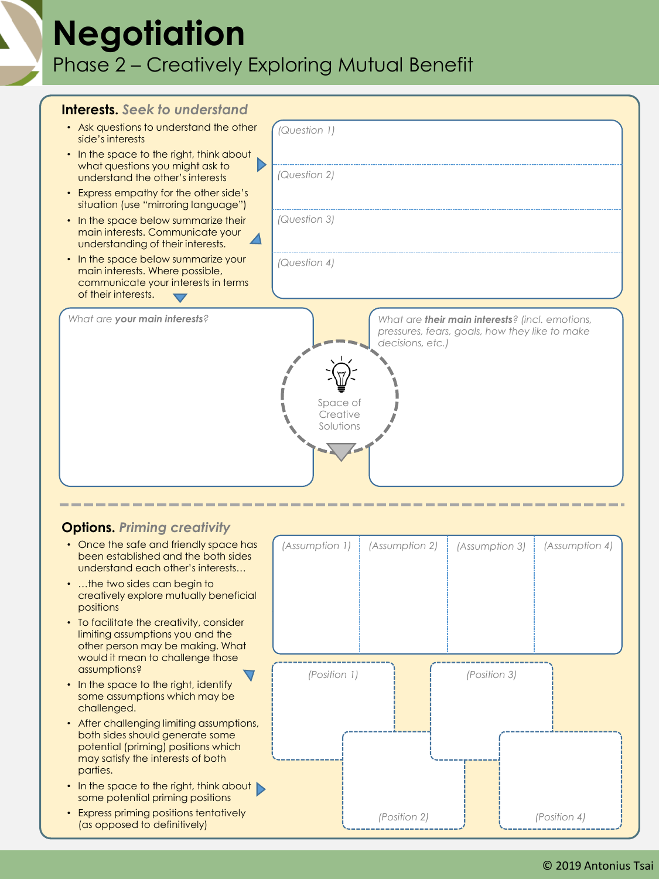## **Negotiation** Phase 2 – Creatively Exploring Mutual Benefit

| <b>Interests.</b> Seek to understand                                                                                               |                                                                                                                                                                    |
|------------------------------------------------------------------------------------------------------------------------------------|--------------------------------------------------------------------------------------------------------------------------------------------------------------------|
| • Ask questions to understand the other<br>side's interests                                                                        | (Question 1)                                                                                                                                                       |
| In the space to the right, think about<br>what questions you might ask to<br>understand the other's interests                      | (Question 2)                                                                                                                                                       |
| Express empathy for the other side's<br>$\bullet$<br>situation (use "mirroring language")                                          |                                                                                                                                                                    |
| In the space below summarize their<br>$\bullet$<br>main interests. Communicate your<br>understanding of their interests.           | (Question 3)                                                                                                                                                       |
| In the space below summarize your<br>main interests. Where possible,<br>communicate your interests in terms<br>of their interests. | (Question 4)                                                                                                                                                       |
| What are your main interests?                                                                                                      | What are <b>their main interests</b> ? (incl. emotions,<br>pressures, fears, goals, how they like to make<br>decisions, etc.)<br>Space of<br>Creative<br>Solutions |

#### **Options.** *Priming creativity*

- Once the safe and friendly space has been established and the both sides understand each other's interests…
- …the two sides can begin to creatively explore mutually beneficial positions
- To facilitate the creativity, consider limiting assumptions you and the other person may be making. What would it mean to challenge those assumptions?
- In the space to the right, identify some assumptions which may be challenged.
- After challenging limiting assumptions, both sides should generate some potential (priming) positions which may satisfy the interests of both parties.
- In the space to the right, think about some potential priming positions
- Express priming positions tentatively (as opposed to definitively)